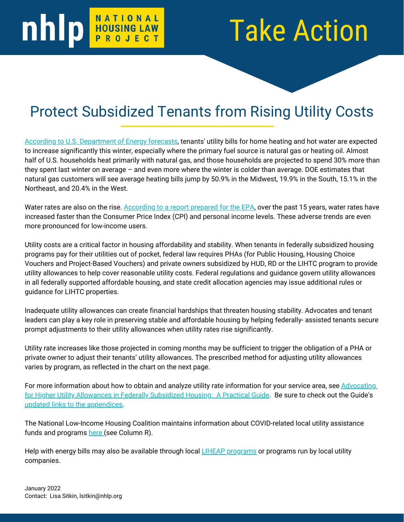## **nhip MATIONAL**

## Take Action

## Protect Subsidized Tenants from Rising Utility Costs

[According to U.S. Department of Energy forecasts](https://www.eia.gov/outlooks/steo/report/WinterFuels.php), tenants' utility bills for home heating and hot water are expected to increase significantly this winter, especially where the primary fuel source is natural gas or heating oil. Almost half of U.S. households heat primarily with natural gas, and those households are projected to spend 30% more than they spent last winter on average – and even more where the winter is colder than average. DOE estimates that natural gas customers will see average heating bills jump by 50.9% in the Midwest, 19.9% in the South, 15.1% in the Northeast, and 20.4% in the West.

Water rates are also on the rise. [According to a report prepared for the EPA,](https://s3.us-west-2.amazonaws.com/napa-2021/studies/developing-a-new-framework-for-community-affordability-of-clean-water-servi/NAPA_EPA_FINAL_REPORT_110117.pdf) over the past 15 years, water rates have increased faster than the Consumer Price Index (CPI) and personal income levels. These adverse trends are even more pronounced for low-income users.

Utility costs are a critical factor in housing affordability and stability. When tenants in federally subsidized housing programs pay for their utilities out of pocket, federal law requires PHAs (for Public Housing, Housing Choice Vouchers and Project-Based Vouchers) and private owners subsidized by HUD, RD or the LIHTC program to provide utility allowances to help cover reasonable utility costs. Federal regulations and guidance govern utility allowances in all federally supported affordable housing, and state credit allocation agencies may issue additional rules or guidance for LIHTC properties.

Inadequate utility allowances can create financial hardships that threaten housing stability. Advocates and tenant leaders can play a key role in preserving stable and affordable housing by helping federally- assisted tenants secure prompt adjustments to their utility allowances when utility rates rise significantly.

Utility rate increases like those projected in coming months may be sufficient to trigger the obligation of a PHA or private owner to adjust their tenants' utility allowances. The prescribed method for adjusting utility allowances varies by program, as reflected in the chart on the next page.

[For more information about how to obtain and analyze utility rate information for your service area, see Advocating](https://www.nhlp.org/wp-content/uploads/Advocating-for-Higher-Utility-Allowances-in-Federally-Subsidized-Housing-A-Practical-Guide-2007.pdf) for Higher Utility Allowances in Federally Subsidized Housing: A Practical Guide. Be sure to check out the Guide's [updated links to the appendices.](https://www.nhlp.org/wp-content/uploads/2022.01.14-Updated-Links-to-UA-Guide-Appendices.pdf)

The National Low-Income Housing Coalition maintains information about COVID-related local utility assistance funds and programs [here \(](https://docs.google.com/spreadsheets/d/1hLfybfo9NydIptQu5wghUpKXecimh3gaoqT7LU1JGc8/edit#gid=2071264019)see Column R).

Help with energy bills may also be available through local *LIHEAP* programs or programs run by local utility companies.